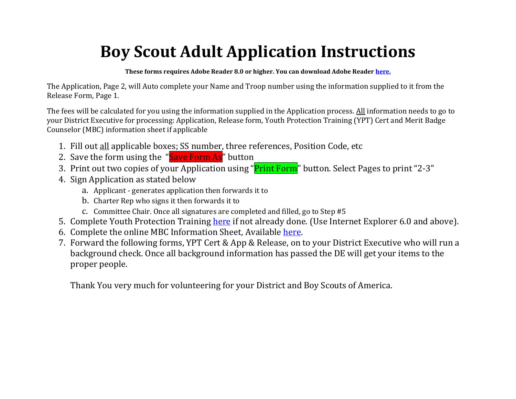# **Boy Scout Adult Application Instructions**

**These forms requires Adobe Reader 8.0 or higher. You can download Adobe Reader [here.](http://get.adobe.com/reader/)**

The Application, Page 2, will Auto complete your Name and Troop number using the information supplied to it from the Release Form, Page 1.

The fees will be calculated for you using the information supplied in the Application process. All information needs to go to your District Executive for processing: Application, Release form, Youth Protection Training (YPT) Cert and Merit Badge Counselor (MBC) information sheet if applicable

- 1. Fill out all applicable boxes; SS number, three references, Position Code, etc
- 2. Save the form using the "Save Form As" button
- 3. Print out two copies of your Application using "Print Form" button. Select Pages to print "2-3"
- 4. Sign Application as stated below
	- a. Applicant generates application then forwards it to
	- b. Charter Rep who signs it then forwards it to
	- c. Committee Chair. Once all signatures are completed and filled, go to Step #5
- 5. Complete Youth Protection Training [here](https://myscouting.scouting.org/_layouts/MyScouting/login.aspx?ReturnUrl=%2f_layouts%2fAuthenticate.aspx%3fSource%3d%252f&Source=%2f) if not already done. (Use Internet Explorer 6.0 and above).
- 6. Complete the online MBC Information Sheet, Available [here.](http://kv-scouts.org/forms.aspx)
- 7. Forward the following forms, YPT Cert & App & Release, on to your District Executive who will run a background check. Once all background information has passed the DE will get your items to the proper people.

Thank You very much for volunteering for your District and Boy Scouts of America.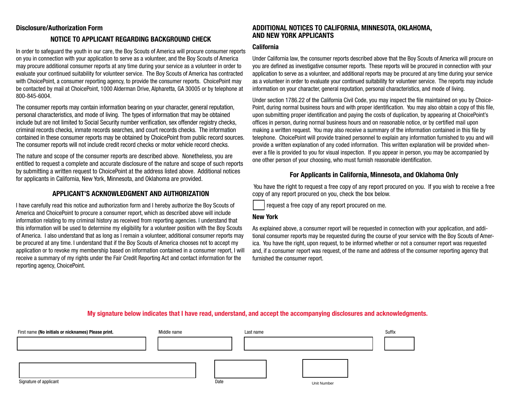## **Disclosure/Authorization Form**

# **NOTICE TO APPLICANT REGARDING BACKGROUND CHECK**

In order to safeguard the youth in our care, the Boy Scouts of America will procure consumer reports on you in connection with your application to serve as a volunteer, and the Boy Scouts of America may procure additional consumer reports at any time during your service as a volunteer in order to evaluate your continued suitability for volunteer service. The Boy Scouts of America has contracted with ChoicePoint, a consumer reporting agency, to provide the consumer reports. ChoicePoint may be contacted by mail at ChoicePoint, 1000 Alderman Drive, Alpharetta, GA 30005 or by telephone at 800-845-6004.

The consumer reports may contain information bearing on your character, general reputation, personal characteristics, and mode of living. The types of information that may be obtained include but are not limited to Social Security number verification, sex offender registry checks, criminal records checks, inmate records searches, and court records checks. The information contained in these consumer reports may be obtained by ChoicePoint from public record sources. The consumer reports will not include credit record checks or motor vehicle record checks.

The nature and scope of the consumer reports are described above. Nonetheless, you are entitled to request a complete and accurate disclosure of the nature and scope of such reports by submitting a written request to ChoicePoint at the address listed above. Additional notices for applicants in California, New York, Minnesota, and Oklahoma are provided.

# **APPLICANT'S ACKNOWLEDGMENT AND AUTHORIZATION**

I have carefully read this notice and authorization form and I hereby authorize the Boy Scouts of America and ChoicePoint to procure a consumer report, which as described above will include information relating to my criminal history as received from reporting agencies. I understand that this information will be used to determine my eligibility for a volunteer position with the Boy Scouts of America. I also understand that as long as I remain a volunteer, additional consumer reports may be procured at any time. I understand that if the Boy Scouts of America chooses not to accept my application or to revoke my membership based on information contained in a consumer report, I will receive a summary of my rights under the Fair Credit Reporting Act and contact information for the reporting agency, ChoicePoint.

### **ADDITIONAL NOTICES TO CALIFORNIA, MINNESOTA, OKLAHOMA, AND NEW YORK APPLICANTS**

#### **California**

Under California law, the consumer reports described above that the Boy Scouts of America will procure on you are defined as investigative consumer reports. These reports will be procured in connection with your application to serve as a volunteer, and additional reports may be procured at any time during your service as a volunteer in order to evaluate your continued suitability for volunteer service. The reports may include information on your character, general reputation, personal characteristics, and mode of living.

Under section 1786.22 of the California Civil Code, you may inspect the file maintained on you by Choice-Point, during normal business hours and with proper identification. You may also obtain a copy of this file, upon submitting proper identification and paying the costs of duplication, by appearing at ChoicePoint's offices in person, during normal business hours and on reasonable notice, or by certified mail upon making a written request. You may also receive a summary of the information contained in this file by telephone. ChoicePoint will provide trained personnel to explain any information furnished to you and will provide a written explanation of any coded information. This written explanation will be provided whenever a file is provided to you for visual inspection. If you appear in person, you may be accompanied by one other person of your choosing, who must furnish reasonable identification.

# **For Applicants in California, Minnesota, and Oklahoma Only**

You have the right to request a free copy of any report procured on you. If you wish to receive a free copy of any report procured on you, check the box below.



request a free copy of any report procured on me.

Unit Number

#### **New York**

As explained above, a consumer report will be requested in connection with your application, and additional consumer reports may be requested during the course of your service with the Boy Scouts of America. You have the right, upon request, to be informed whether or not a consumer report was requested and, if a consumer report was request, of the name and address of the consumer reporting agency that furnished the consumer report.

# First name (No initials or nicknames) Please print. **Middle name** Middle name Last name Last name Cuffix

# **My signature below indicates that I have read, understand, and accept the accompanying disclosures and acknowledgments.**

Signature of applicant Date of  $\mathcal{L}$  because the control of  $\mathcal{L}$  because the control of applicant Date of  $\mathcal{L}$